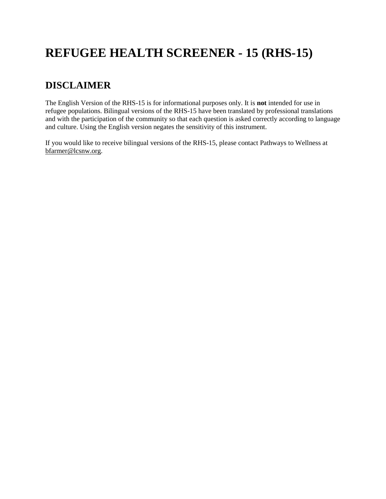# **REFUGEE HEALTH SCREENER - 15 (RHS-15)**

### **DISCLAIMER**

The English Version of the RHS-15 is for informational purposes only. It is **not** intended for use in refugee populations. Bilingual versions of the RHS-15 have been translated by professional translations and with the participation of the community so that each question is asked correctly according to language and culture. Using the English version negates the sensitivity of this instrument.

If you would like to receive bilingual versions of the RHS-15, please contact Pathways to Wellness at [bfarmer@lcsnw.org.](mailto:bfarmer@lcsnw.org)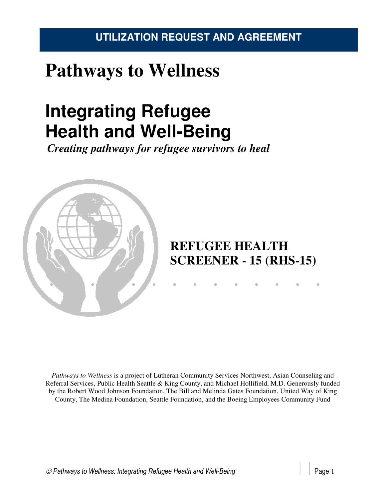### **UTILIZATION REQUEST AND AGREEMENT**

# **Pathways to Wellness**

# **Integrating Refugee Health and Well-Being**

*Creating pathways for refugee survivors to heal*



# **REFUGEE HEALTH SCREENER - 15 (RHS-15)**

*Pathways to Wellness* is a project of Lutheran Community Services Northwest, Asian Counseling and Referral Services, Public Health Seattle & King County, and Michael Hollifield, M.D. Generously funded

by the Robert Wood Johnson Foundation, The Bill and Melinda Gates Foundation, United Way of King County, The Medina Foundation, Seattle Foundation, and the Boeing Employees Community Fund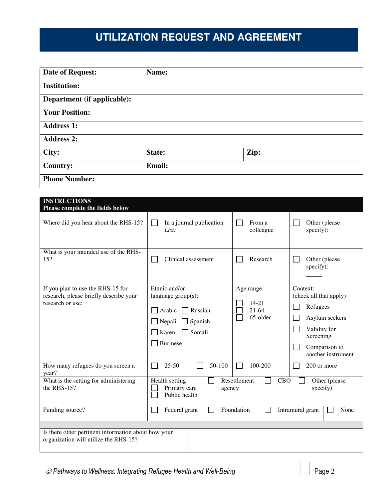## **UTILIZATION REQUEST AND AGREEMENT**

| <b>Date of Request:</b>     | Name:  |      |  |  |  |
|-----------------------------|--------|------|--|--|--|
| <b>Institution:</b>         |        |      |  |  |  |
| Department (if applicable): |        |      |  |  |  |
| <b>Your Position:</b>       |        |      |  |  |  |
| <b>Address 1:</b>           |        |      |  |  |  |
| <b>Address 2:</b>           |        |      |  |  |  |
| City:                       | State: | Zip: |  |  |  |
| <b>Country:</b>             | Email: |      |  |  |  |
| <b>Phone Number:</b>        |        |      |  |  |  |

| <b>INSTRUCTIONS</b><br>Please complete the fields below                                         |                                                                                                                                     |                                                 |                                                                                                                                      |
|-------------------------------------------------------------------------------------------------|-------------------------------------------------------------------------------------------------------------------------------------|-------------------------------------------------|--------------------------------------------------------------------------------------------------------------------------------------|
| Where did you hear about the RHS-15?                                                            | In a journal publication<br>$\mathsf{L}$<br>List:                                                                                   | From a<br>colleague                             | Other (please<br>specify):                                                                                                           |
| What is your intended use of the RHS-<br>15?                                                    | Clinical assessment<br>$\mathbf{L}$                                                                                                 | Research                                        | Other (please<br>specify):                                                                                                           |
| If you plan to use the RHS-15 for<br>research, please briefly describe your<br>research or use: | Ethnic and/or<br>language $group(s)$ :<br>$\Box$ Russian<br>Arabic<br>$\Box$ Nepali<br>Spanish<br>Somali<br>Karen<br><b>Burmese</b> | Age range<br>$14 - 21$<br>$21 - 64$<br>65-older | Context:<br>(check all that apply)<br>Refugees<br>Asylum seekers<br>Validity for<br>Screening<br>Comparison to<br>another instrument |
| How many refugees do you screen a<br>year?                                                      | $25 - 50$<br>50-100                                                                                                                 | 100-200                                         | 200 or more                                                                                                                          |
| What is the setting for administering<br>the RHS-15?                                            | Health setting<br>Primary care<br>agency<br>Public health                                                                           | CBO<br>Resettlement                             | Other (please<br>specify)                                                                                                            |
| Funding source?                                                                                 | Federal grant                                                                                                                       | Foundation                                      | Intramural grant<br>None                                                                                                             |
| Is there other pertinent information about how your<br>organization will utilize the RHS-15?    |                                                                                                                                     |                                                 |                                                                                                                                      |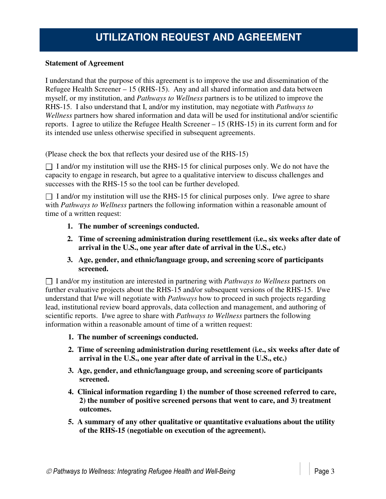#### **Statement of Agreement**

I understand that the purpose of this agreement is to improve the use and dissemination of the Refugee Health Screener – 15 (RHS-15). Any and all shared information and data between myself, or my institution, and *Pathways to Wellness* partners is to be utilized to improve the RHS-15. I also understand that I, and/or my institution, may negotiate with *Pathways to Wellness* partners how shared information and data will be used for institutional and/or scientific reports. I agree to utilize the Refugee Health Screener – 15 (RHS-15) in its current form and for its intended use unless otherwise specified in subsequent agreements.

(Please check the box that reflects your desired use of the RHS-15)

 $\Box$  I and/or my institution will use the RHS-15 for clinical purposes only. We do not have the capacity to engage in research, but agree to a qualitative interview to discuss challenges and successes with the RHS-15 so the tool can be further developed.

 $\Box$  I and/or my institution will use the RHS-15 for clinical purposes only. I/we agree to share with *Pathways to Wellness* partners the following information within a reasonable amount of time of a written request:

- **1. The number of screenings conducted.**
- **2. Time of screening administration during resettlement (i.e., six weeks after date of arrival in the U.S., one year after date of arrival in the U.S., etc.)**
- **3. Age, gender, and ethnic/language group, and screening score of participants screened.**

 I and/or my institution are interested in partnering with *Pathways to Wellness* partners on further evaluative projects about the RHS-15 and/or subsequent versions of the RHS-15. I/we understand that I/we will negotiate with *Pathways* how to proceed in such projects regarding lead, institutional review board approvals, data collection and management, and authoring of scientific reports. I/we agree to share with *Pathways to Wellness* partners the following information within a reasonable amount of time of a written request:

- **1. The number of screenings conducted.**
- **2. Time of screening administration during resettlement (i.e., six weeks after date of arrival in the U.S., one year after date of arrival in the U.S., etc.)**
- **3. Age, gender, and ethnic/language group, and screening score of participants screened.**
- **4. Clinical information regarding 1) the number of those screened referred to care, 2) the number of positive screened persons that went to care, and 3) treatment outcomes.**
- **5. A summary of any other qualitative or quantitative evaluations about the utility of the RHS-15 (negotiable on execution of the agreement).**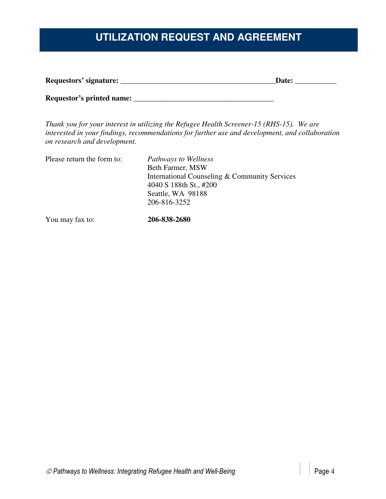## **UTILIZATION REQUEST AND AGREEMENT**

| Requestors' signature: | Date: |  |
|------------------------|-------|--|
|                        |       |  |

*Thank you for your interest in utilizing the Refugee Health Screener-15 (RHS-15). We are interested in your findings, recommendations for further use and development, and collaboration on research and development.* 

Please return the form to: *Pathways to Wellness*

Beth Farmer, MSW International Counseling & Community Services 4040 S 188th St., #200 Seattle, WA 98188 206-816-3252

You may fax to: **206-838-2680**

**Requestor's printed name:** \_\_\_\_\_\_\_\_\_\_\_\_\_\_\_\_\_\_\_\_\_\_\_\_\_\_\_\_\_\_\_\_\_\_\_\_\_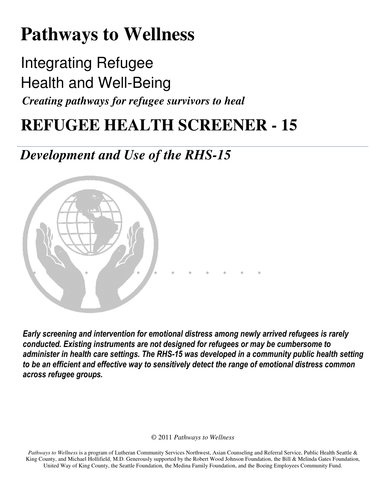# **Pathways to Wellness**

Integrating Refugee Health and Well-Being *Creating pathways for refugee survivors to heal*

# **REFUGEE HEALTH SCREENER - 15**

# *Development and Use of the RHS-15*



Early screening and intervention for emotional distress among newly arrived refugees is rarely conducted. Existing instruments are not designed for refugees or may be cumbersome to administer in health care settings. The RHS-15 was developed in a community public health setting to be an efficient and effective way to sensitively detect the range of emotional distress common across refugee groups.

© 2011 *Pathways to Wellness* 

*Pathways to Wellness* is a program of Lutheran Community Services Northwest, Asian Counseling and Referral Service, Public Health Seattle & King County, and Michael Hollifield, M.D. Generously supported by the Robert Wood Johnson Foundation, the Bill & Melinda Gates Foundation, United Way of King County, the Seattle Foundation, the Medina Family Foundation, and the Boeing Employees Community Fund.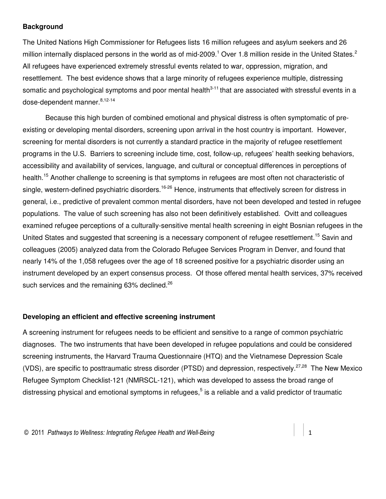#### **Background**

The United Nations High Commissioner for Refugees lists 16 million refugees and asylum seekers and 26 million internally displaced persons in the world as of mid-2009.<sup>1</sup> Over 1.8 million reside in the United States.<sup>2</sup> All refugees have experienced extremely stressful events related to war, oppression, migration, and resettlement. The best evidence shows that a large minority of refugees experience multiple, distressing somatic and psychological symptoms and poor mental health<sup>3-11</sup> that are associated with stressful events in a dose-dependent manner.<sup>8,12-14</sup>

 Because this high burden of combined emotional and physical distress is often symptomatic of preexisting or developing mental disorders, screening upon arrival in the host country is important. However, screening for mental disorders is not currently a standard practice in the majority of refugee resettlement programs in the U.S. Barriers to screening include time, cost, follow-up, refugees' health seeking behaviors, accessibility and availability of services, language, and cultural or conceptual differences in perceptions of health.<sup>15</sup> Another challenge to screening is that symptoms in refugees are most often not characteristic of single, western-defined psychiatric disorders.<sup>16-26</sup> Hence, instruments that effectively screen for distress in general, i.e., predictive of prevalent common mental disorders, have not been developed and tested in refugee populations. The value of such screening has also not been definitively established. Ovitt and colleagues examined refugee perceptions of a culturally-sensitive mental health screening in eight Bosnian refugees in the United States and suggested that screening is a necessary component of refugee resettlement.<sup>15</sup> Savin and colleagues (2005) analyzed data from the Colorado Refugee Services Program in Denver, and found that nearly 14% of the 1,058 refugees over the age of 18 screened positive for a psychiatric disorder using an instrument developed by an expert consensus process. Of those offered mental health services, 37% received such services and the remaining 63% declined.<sup>26</sup>

#### **Developing an efficient and effective screening instrument**

A screening instrument for refugees needs to be efficient and sensitive to a range of common psychiatric diagnoses. The two instruments that have been developed in refugee populations and could be considered screening instruments, the Harvard Trauma Questionnaire (HTQ) and the Vietnamese Depression Scale (VDS), are specific to posttraumatic stress disorder (PTSD) and depression, respectively.<sup>27,28</sup> The New Mexico Refugee Symptom Checklist-121 (NMRSCL-121), which was developed to assess the broad range of distressing physical and emotional symptoms in refugees,<sup>5</sup> is a reliable and a valid predictor of traumatic

© 2011 Pathways to Wellness: Integrating Refugee Health and Well-Being <sup>1</sup>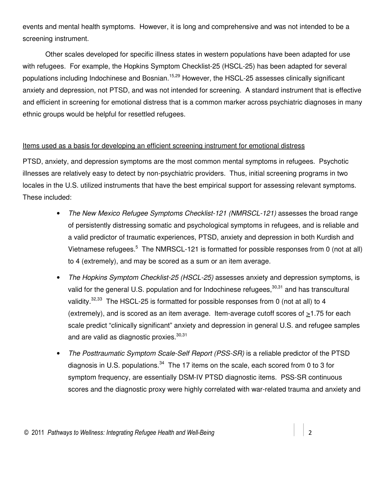events and mental health symptoms. However, it is long and comprehensive and was not intended to be a screening instrument.

Other scales developed for specific illness states in western populations have been adapted for use with refugees. For example, the Hopkins Symptom Checklist-25 (HSCL-25) has been adapted for several populations including Indochinese and Bosnian.<sup>15,29</sup> However, the HSCL-25 assesses clinically significant anxiety and depression, not PTSD, and was not intended for screening. A standard instrument that is effective and efficient in screening for emotional distress that is a common marker across psychiatric diagnoses in many ethnic groups would be helpful for resettled refugees.

#### Items used as a basis for developing an efficient screening instrument for emotional distress

PTSD, anxiety, and depression symptoms are the most common mental symptoms in refugees. Psychotic illnesses are relatively easy to detect by non-psychiatric providers. Thus, initial screening programs in two locales in the U.S. utilized instruments that have the best empirical support for assessing relevant symptoms. These included:

- The New Mexico Refugee Symptoms Checklist-121 (NMRSCL-121) assesses the broad range of persistently distressing somatic and psychological symptoms in refugees, and is reliable and a valid predictor of traumatic experiences, PTSD, anxiety and depression in both Kurdish and Vietnamese refugees.<sup>5</sup> The NMRSCL-121 is formatted for possible responses from 0 (not at all) to 4 (extremely), and may be scored as a sum or an item average.
- The Hopkins Symptom Checklist-25 (HSCL-25) assesses anxiety and depression symptoms, is valid for the general U.S. population and for Indochinese refugees,  $30,31$  and has transcultural validity.<sup>32,33</sup> The HSCL-25 is formatted for possible responses from 0 (not at all) to 4 (extremely), and is scored as an item average. Item-average cutoff scores of >1.75 for each scale predict "clinically significant" anxiety and depression in general U.S. and refugee samples and are valid as diagnostic proxies.<sup>30,31</sup>
- The Posttraumatic Symptom Scale-Self Report (PSS-SR) is a reliable predictor of the PTSD diagnosis in U.S. populations. $34$  The 17 items on the scale, each scored from 0 to 3 for symptom frequency, are essentially DSM-IV PTSD diagnostic items. PSS-SR continuous scores and the diagnostic proxy were highly correlated with war-related trauma and anxiety and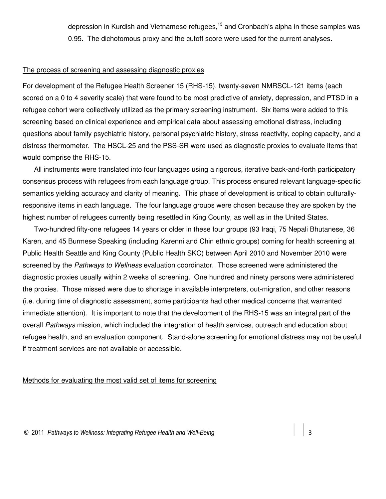depression in Kurdish and Vietnamese refugees, $<sup>13</sup>$  and Cronbach's alpha in these samples was</sup> 0.95. The dichotomous proxy and the cutoff score were used for the current analyses.

#### The process of screening and assessing diagnostic proxies

For development of the Refugee Health Screener 15 (RHS-15), twenty-seven NMRSCL-121 items (each scored on a 0 to 4 severity scale) that were found to be most predictive of anxiety, depression, and PTSD in a refugee cohort were collectively utilized as the primary screening instrument. Six items were added to this screening based on clinical experience and empirical data about assessing emotional distress, including questions about family psychiatric history, personal psychiatric history, stress reactivity, coping capacity, and a distress thermometer. The HSCL-25 and the PSS-SR were used as diagnostic proxies to evaluate items that would comprise the RHS-15.

 All instruments were translated into four languages using a rigorous, iterative back-and-forth participatory consensus process with refugees from each language group. This process ensured relevant language-specific semantics yielding accuracy and clarity of meaning. This phase of development is critical to obtain culturallyresponsive items in each language. The four language groups were chosen because they are spoken by the highest number of refugees currently being resettled in King County, as well as in the United States.

 Two-hundred fifty-one refugees 14 years or older in these four groups (93 Iraqi, 75 Nepali Bhutanese, 36 Karen, and 45 Burmese Speaking (including Karenni and Chin ethnic groups) coming for health screening at Public Health Seattle and King County (Public Health SKC) between April 2010 and November 2010 were screened by the Pathways to Wellness evaluation coordinator. Those screened were administered the diagnostic proxies usually within 2 weeks of screening. One hundred and ninety persons were administered the proxies. Those missed were due to shortage in available interpreters, out-migration, and other reasons (i.e. during time of diagnostic assessment, some participants had other medical concerns that warranted immediate attention). It is important to note that the development of the RHS-15 was an integral part of the overall Pathways mission, which included the integration of health services, outreach and education about refugee health, and an evaluation component. Stand-alone screening for emotional distress may not be useful if treatment services are not available or accessible.

#### Methods for evaluating the most valid set of items for screening

© 2011 Pathways to Wellness: Integrating Refugee Health and Well-Being <sup>3</sup>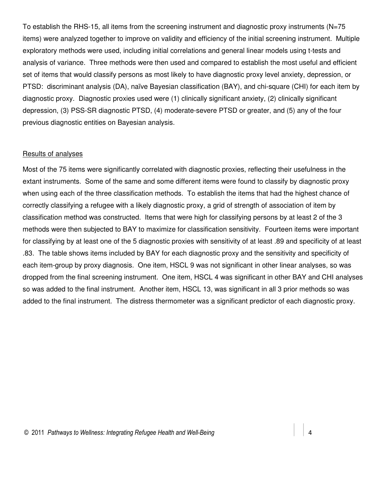To establish the RHS-15, all items from the screening instrument and diagnostic proxy instruments (N=75 items) were analyzed together to improve on validity and efficiency of the initial screening instrument. Multiple exploratory methods were used, including initial correlations and general linear models using t-tests and analysis of variance. Three methods were then used and compared to establish the most useful and efficient set of items that would classify persons as most likely to have diagnostic proxy level anxiety, depression, or PTSD: discriminant analysis (DA), naïve Bayesian classification (BAY), and chi-square (CHI) for each item by diagnostic proxy. Diagnostic proxies used were (1) clinically significant anxiety, (2) clinically significant depression, (3) PSS-SR diagnostic PTSD, (4) moderate-severe PTSD or greater, and (5) any of the four previous diagnostic entities on Bayesian analysis.

#### Results of analyses

Most of the 75 items were significantly correlated with diagnostic proxies, reflecting their usefulness in the extant instruments. Some of the same and some different items were found to classify by diagnostic proxy when using each of the three classification methods. To establish the items that had the highest chance of correctly classifying a refugee with a likely diagnostic proxy, a grid of strength of association of item by classification method was constructed. Items that were high for classifying persons by at least 2 of the 3 methods were then subjected to BAY to maximize for classification sensitivity. Fourteen items were important for classifying by at least one of the 5 diagnostic proxies with sensitivity of at least .89 and specificity of at least .83. The table shows items included by BAY for each diagnostic proxy and the sensitivity and specificity of each item-group by proxy diagnosis. One item, HSCL 9 was not significant in other linear analyses, so was dropped from the final screening instrument. One item, HSCL 4 was significant in other BAY and CHI analyses so was added to the final instrument. Another item, HSCL 13, was significant in all 3 prior methods so was added to the final instrument. The distress thermometer was a significant predictor of each diagnostic proxy.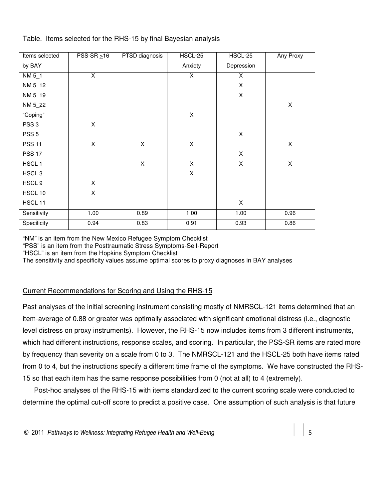| Items selected    | $PSS-SR \geq 16$   | PTSD diagnosis | HSCL-25        | HSCL-25     | Any Proxy   |
|-------------------|--------------------|----------------|----------------|-------------|-------------|
| by BAY            |                    |                | Anxiety        | Depression  |             |
| NM $5_1$          | X                  |                | X              | X           |             |
| NM 5_12           |                    |                |                | X           |             |
| NM 5_19           |                    |                |                | X           |             |
| NM 5_22           |                    |                |                |             | X           |
| "Coping"          |                    |                | $\mathsf X$    |             |             |
| PSS <sub>3</sub>  | $\pmb{\mathsf{X}}$ |                |                |             |             |
| PSS <sub>5</sub>  |                    |                |                | $\mathsf X$ |             |
| <b>PSS 11</b>     | Χ                  | $\mathsf X$    | $\mathsf X$    |             | $\mathsf X$ |
| <b>PSS 17</b>     |                    |                |                | X           |             |
| HSCL 1            |                    | $\mathsf X$    | X              | X           | $\mathsf X$ |
| HSCL <sub>3</sub> |                    |                | $\pmb{\times}$ |             |             |
| HSCL 9            | Χ                  |                |                |             |             |
| HSCL 10           | $\mathsf X$        |                |                |             |             |
| HSCL 11           |                    |                |                | X           |             |
| Sensitivity       | 1.00               | 0.89           | 1.00           | 1.00        | 0.96        |
| Specificity       | 0.94               | 0.83           | 0.91           | 0.93        | 0.86        |

Table. Items selected for the RHS-15 by final Bayesian analysis

"NM" is an item from the New Mexico Refugee Symptom Checklist

"PSS" is an item from the Posttraumatic Stress Symptoms-Self-Report

"HSCL" is an item from the Hopkins Symptom Checklist

The sensitivity and specificity values assume optimal scores to proxy diagnoses in BAY analyses

#### Current Recommendations for Scoring and Using the RHS-15

Past analyses of the initial screening instrument consisting mostly of NMRSCL-121 items determined that an item-average of 0.88 or greater was optimally associated with significant emotional distress (i.e., diagnostic level distress on proxy instruments). However, the RHS-15 now includes items from 3 different instruments, which had different instructions, response scales, and scoring. In particular, the PSS-SR items are rated more by frequency than severity on a scale from 0 to 3. The NMRSCL-121 and the HSCL-25 both have items rated from 0 to 4, but the instructions specify a different time frame of the symptoms. We have constructed the RHS-15 so that each item has the same response possibilities from 0 (not at all) to 4 (extremely).

 Post-hoc analyses of the RHS-15 with items standardized to the current scoring scale were conducted to determine the optimal cut-off score to predict a positive case. One assumption of such analysis is that future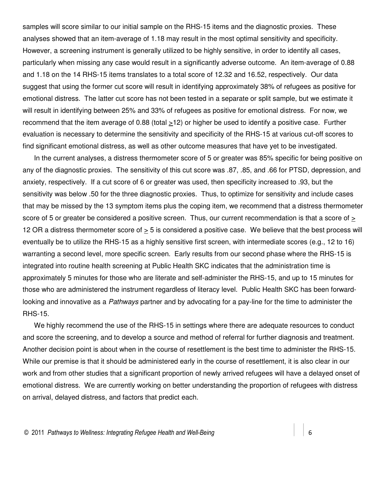samples will score similar to our initial sample on the RHS-15 items and the diagnostic proxies. These analyses showed that an item-average of 1.18 may result in the most optimal sensitivity and specificity. However, a screening instrument is generally utilized to be highly sensitive, in order to identify all cases, particularly when missing any case would result in a significantly adverse outcome. An item-average of 0.88 and 1.18 on the 14 RHS-15 items translates to a total score of 12.32 and 16.52, respectively. Our data suggest that using the former cut score will result in identifying approximately 38% of refugees as positive for emotional distress. The latter cut score has not been tested in a separate or split sample, but we estimate it will result in identifying between 25% and 33% of refugees as positive for emotional distress. For now, we recommend that the item average of 0.88 (total >12) or higher be used to identify a positive case. Further evaluation is necessary to determine the sensitivity and specificity of the RHS-15 at various cut-off scores to find significant emotional distress, as well as other outcome measures that have yet to be investigated.

 In the current analyses, a distress thermometer score of 5 or greater was 85% specific for being positive on any of the diagnostic proxies. The sensitivity of this cut score was .87, .85, and .66 for PTSD, depression, and anxiety, respectively. If a cut score of 6 or greater was used, then specificity increased to .93, but the sensitivity was below .50 for the three diagnostic proxies. Thus, to optimize for sensitivity and include cases that may be missed by the 13 symptom items plus the coping item, we recommend that a distress thermometer score of 5 or greater be considered a positive screen. Thus, our current recommendation is that a score of  $\geq$ 12 OR a distress thermometer score of > 5 is considered a positive case. We believe that the best process will eventually be to utilize the RHS-15 as a highly sensitive first screen, with intermediate scores (e.g., 12 to 16) warranting a second level, more specific screen. Early results from our second phase where the RHS-15 is integrated into routine health screening at Public Health SKC indicates that the administration time is approximately 5 minutes for those who are literate and self-administer the RHS-15, and up to 15 minutes for those who are administered the instrument regardless of literacy level. Public Health SKC has been forwardlooking and innovative as a Pathways partner and by advocating for a pay-line for the time to administer the RHS-15.

 We highly recommend the use of the RHS-15 in settings where there are adequate resources to conduct and score the screening, and to develop a source and method of referral for further diagnosis and treatment. Another decision point is about when in the course of resettlement is the best time to administer the RHS-15. While our premise is that it should be administered early in the course of resettlement, it is also clear in our work and from other studies that a significant proportion of newly arrived refugees will have a delayed onset of emotional distress. We are currently working on better understanding the proportion of refugees with distress on arrival, delayed distress, and factors that predict each.

© 2011 Pathways to Wellness: Integrating Refugee Health and Well-Being <sup>6</sup>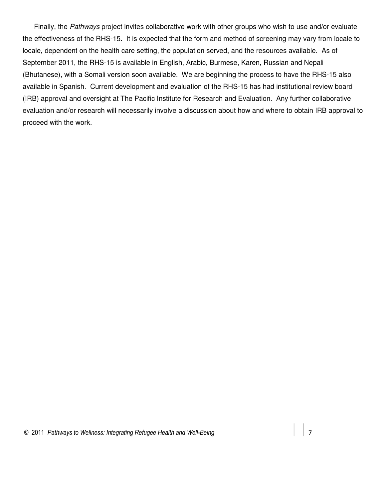Finally, the Pathways project invites collaborative work with other groups who wish to use and/or evaluate the effectiveness of the RHS-15. It is expected that the form and method of screening may vary from locale to locale, dependent on the health care setting, the population served, and the resources available. As of September 2011, the RHS-15 is available in English, Arabic, Burmese, Karen, Russian and Nepali (Bhutanese), with a Somali version soon available. We are beginning the process to have the RHS-15 also available in Spanish. Current development and evaluation of the RHS-15 has had institutional review board (IRB) approval and oversight at The Pacific Institute for Research and Evaluation. Any further collaborative evaluation and/or research will necessarily involve a discussion about how and where to obtain IRB approval to proceed with the work.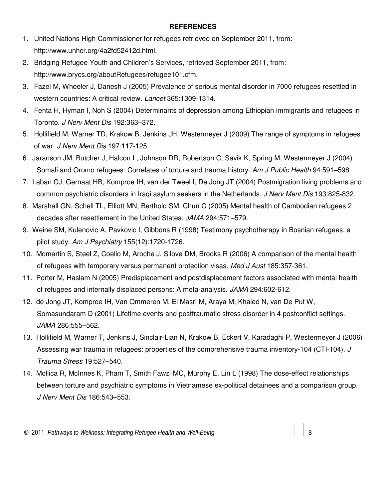#### **REFERENCES**

- 1. United Nations High Commissioner for refugees retrieved on September 2011, from: http://www.unhcr.org/4a2fd52412d.html.
- 2. Bridging Refugee Youth and Children's Services, retrieved September 2011, from: http://www.brycs.org/aboutRefugees/refugee101.cfm.
- 3. Fazel M, Wheeler J, Danesh J (2005) Prevalence of serious mental disorder in 7000 refugees resettled in western countries: A critical review. Lancet 365:1309-1314.
- 4. Fenta H, Hyman I, Noh S (2004) Determinants of depression among Ethiopian immigrants and refugees in Toronto. J Nerv Ment Dis 192:363–372.
- 5. Hollifield M, Warner TD, Krakow B, Jenkins JH, Westermeyer J (2009) The range of symptoms in refugees of war. J Nerv Ment Dis 197:117-125.
- 6. Jaranson JM, Butcher J, Halcon L, Johnson DR, Robertson C, Savik K, Spring M, Westermeyer J (2004) Somali and Oromo refugees: Correlates of torture and trauma history. Am J Public Health 94:591–598.
- 7. Laban CJ, Gernaat HB, Komproe IH, van der Tweel I, De Jong JT (2004) Postmigration living problems and common psychiatric disorders in Iraqi asylum seekers in the Netherlands. J Nerv Ment Dis 193:825-832.
- 8. Marshall GN, Schell TL, Elliott MN, Berthold SM, Chun C (2005) Mental health of Cambodian refugees 2 decades after resettlement in the United States. JAMA 294:571–579.
- 9. Weine SM, Kulenovic A, Pavkovic I, Gibbons R (1998) Testimony psychotherapy in Bosnian refugees: a pilot study. Am J Psychiatry 155(12):1720-1726.
- 10. Momartin S, Steel Z, Coello M, Aroche J, Silove DM, Brooks R (2006) A comparison of the mental health of refugees with temporary versus permanent protection visas. Med J Aust 185:357-361.
- 11. Porter M, Haslam N (2005) Predisplacement and postdisplacement factors associated with mental health of refugees and internally displaced persons: A meta-analysis. JAMA 294:602-612.
- 12. de Jong JT, Komproe IH, Van Ommeren M, El Masri M, Araya M, Khaled N, van De Put W, Somasundaram D (2001) Lifetime events and posttraumatic stress disorder in 4 postconflict settings. JAMA 286:555–562.
- 13. Hollifield M, Warner T, Jenkins J, Sinclair-Lian N, Krakow B, Eckert V, Karadaghi P, Westermeyer J (2006) Assessing war trauma in refugees: properties of the comprehensive trauma inventory-104 (CTI-104). J Trauma Stress 19:527–540.
- 14. Mollica R, McInnes K, Pham T, Smith Fawzi MC, Murphy E, Lin L (1998) The dose-effect relationships between torture and psychiatric symptoms in Vietnamese ex-political detainees and a comparison group. J Nerv Ment Dis 186:543–553.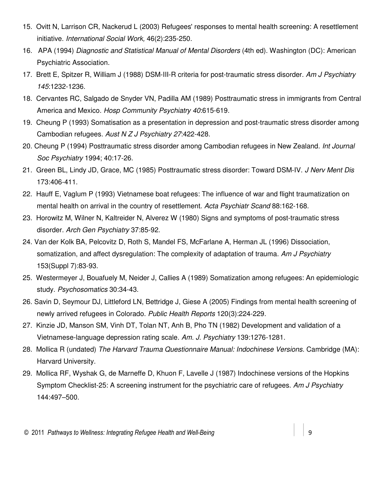- 15. Ovitt N, Larrison CR, Nackerud L (2003) Refugees' responses to mental health screening: A resettlement initiative. International Social Work, 46(2):235-250.
- 16. APA (1994) Diagnostic and Statistical Manual of Mental Disorders (4th ed). Washington (DC): American Psychiatric Association.
- 17. Brett E, Spitzer R, William J (1988) DSM-III-R criteria for post-traumatic stress disorder. Am J Psychiatry 145:1232-1236.
- 18. Cervantes RC, Salgado de Snyder VN, Padilla AM (1989) Posttraumatic stress in immigrants from Central America and Mexico. Hosp Community Psychiatry 40:615-619.
- 19. Cheung P (1993) Somatisation as a presentation in depression and post-traumatic stress disorder among Cambodian refugees. Aust N Z J Psychiatry 27:422-428.
- 20. Cheung P (1994) Posttraumatic stress disorder among Cambodian refugees in New Zealand. Int Journal Soc Psychiatry 1994; 40:17-26.
- 21. Green BL, Lindy JD, Grace, MC (1985) Posttraumatic stress disorder: Toward DSM-IV. J Nerv Ment Dis 173:406-411.
- 22. Hauff E, Vaglum P (1993) Vietnamese boat refugees: The influence of war and flight traumatization on mental health on arrival in the country of resettlement. Acta Psychiatr Scand 88:162-168.
- 23. Horowitz M, Wilner N, Kaltreider N, Alverez W (1980) Signs and symptoms of post-traumatic stress disorder. Arch Gen Psychiatry 37:85-92.
- 24. Van der Kolk BA, Pelcovitz D, Roth S, Mandel FS, McFarlane A, Herman JL (1996) Dissociation, somatization, and affect dysregulation: The complexity of adaptation of trauma. Am J Psychiatry 153(Suppl 7):83-93.
- 25. Westermeyer J, Bouafuely M, Neider J, Callies A (1989) Somatization among refugees: An epidemiologic study. Psychosomatics 30:34-43.
- 26. Savin D, Seymour DJ, Littleford LN, Bettridge J, Giese A (2005) Findings from mental health screening of newly arrived refugees in Colorado. Public Health Reports 120(3):224-229.
- 27. Kinzie JD, Manson SM, Vinh DT, Tolan NT, Anh B, Pho TN (1982) Development and validation of a Vietnamese-language depression rating scale. Am. J. Psychiatry 139:1276-1281.
- 28. Mollica R (undated) The Harvard Trauma Questionnaire Manual: Indochinese Versions. Cambridge (MA): Harvard University.
- 29. Mollica RF, Wyshak G, de Marneffe D, Khuon F, Lavelle J (1987) Indochinese versions of the Hopkins Symptom Checklist-25: A screening instrument for the psychiatric care of refugees. Am J Psychiatry 144:497–500.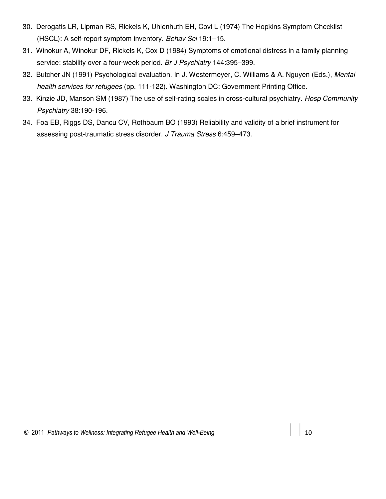- 30. Derogatis LR, Lipman RS, Rickels K, Uhlenhuth EH, Covi L (1974) The Hopkins Symptom Checklist (HSCL): A self-report symptom inventory. Behav Sci 19:1–15.
- 31. Winokur A, Winokur DF, Rickels K, Cox D (1984) Symptoms of emotional distress in a family planning service: stability over a four-week period. Br J Psychiatry 144:395-399.
- 32. Butcher JN (1991) Psychological evaluation. In J. Westermeyer, C. Williams & A. Nguyen (Eds.), Mental health services for refugees (pp. 111-122). Washington DC: Government Printing Office.
- 33. Kinzie JD, Manson SM (1987) The use of self-rating scales in cross-cultural psychiatry. Hosp Community Psychiatry 38:190-196.
- 34. Foa EB, Riggs DS, Dancu CV, Rothbaum BO (1993) Reliability and validity of a brief instrument for assessing post-traumatic stress disorder. J Trauma Stress 6:459–473.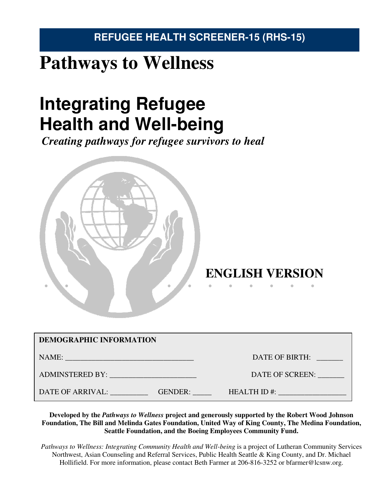## **REFUGEE HEALTH SCREENER-15 (RHS-15)**

# **Pathways to Wellness**

# **Integrating Refugee Health and Well-being**

*Creating pathways for refugee survivors to heal*



## **ENGLISH VERSION**

| <b>DEMOGRAPHIC INFORMATION</b>                                                                                                                                                                                                 |                 |  |  |  |  |
|--------------------------------------------------------------------------------------------------------------------------------------------------------------------------------------------------------------------------------|-----------------|--|--|--|--|
|                                                                                                                                                                                                                                | DATE OF BIRTH:  |  |  |  |  |
| ADMINSTERED BY: NAME OF STRAINING CONTROL OF STRAINING CONTROL OF STRAINING CONTROL OF STRAINING CONTROL OF STRAINING CONTROL OF STRAINING CONTROL OF STRAINING CONTROL OF STRAINING CONTROL OF STRAINING CONTROL OF STRAINING | DATE OF SCREEN: |  |  |  |  |
| GENDER:<br>DATE OF ARRIVAL:                                                                                                                                                                                                    | $HEALTHID$ #:   |  |  |  |  |

**Developed by the** *Pathways to Wellness* **project and generously supported by the Robert Wood Johnson Foundation, The Bill and Melinda Gates Foundation, United Way of King County, The Medina Foundation, Seattle Foundation, and the Boeing Employees Community Fund.** 

*Pathways to Wellness: Integrating Community Health and Well-being* is a project of Lutheran Community Services Northwest, Asian Counseling and Referral Services, Public Health Seattle & King County, and Dr. Michael Hollifield. For more information, please contact Beth Farmer at 206-816-3252 or bfarmer@lcsnw.org.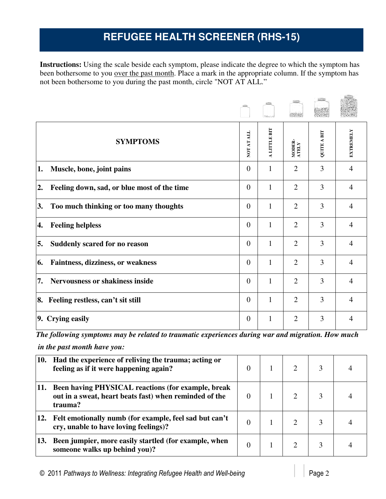## **REFUGEE HEALTH SCREENER (RHS-15)**

**Instructions:** Using the scale beside each symptom, please indicate the degree to which the symptom has been bothersome to you over the past month. Place a mark in the appropriate column. If the symptom has not been bothersome to you during the past month, circle "NOT AT ALL."

|                                                   |                | Maturity     |                 |             |                  |
|---------------------------------------------------|----------------|--------------|-----------------|-------------|------------------|
| <b>SYMPTOMS</b>                                   | NOT AT ALL     | A LITTLE BIT | MODER-<br>ATELY | QUITE A BIT | <b>EXTREMELY</b> |
| Muscle, bone, joint pains<br>1.                   | $\overline{0}$ | 1            | $\overline{2}$  | 3           | 4                |
| Feeling down, sad, or blue most of the time<br>2. | $\overline{0}$ | 1            | $\overline{2}$  | 3           | 4                |
| Too much thinking or too many thoughts<br>3.      | $\overline{0}$ | 1            | $\overline{2}$  | 3           | 4                |
| <b>Feeling helpless</b><br>4.                     | $\overline{0}$ | 1            | $\overline{2}$  | 3           | 4                |
| 5.<br>Suddenly scared for no reason               | $\Omega$       | 1            | $\overline{2}$  | 3           | 4                |
| Faintness, dizziness, or weakness<br>6.           | $\overline{0}$ | 1            | $\overline{2}$  | 3           | 4                |
| 7.<br><b>Nervousness or shakiness inside</b>      | $\overline{0}$ | 1            | $\overline{2}$  | 3           | 4                |
| Feeling restless, can't sit still<br>8.           | $\overline{0}$ | 1            | $\overline{2}$  | 3           | $\overline{4}$   |
| 9. Crying easily                                  | $\overline{0}$ |              | $\overline{2}$  | 3           | 4                |

 *The following symptoms may be related to traumatic experiences during war and migration. How much* 

 *in the past month have you:* 

| 10. | Had the experience of reliving the trauma; acting or<br>feeling as if it were happening again?                                 | $\Omega$ |  |  |
|-----|--------------------------------------------------------------------------------------------------------------------------------|----------|--|--|
| 11. | <b>Been having PHYSICAL reactions (for example, break</b><br>out in a sweat, heart beats fast) when reminded of the<br>trauma? |          |  |  |
| 12. | Felt emotionally numb (for example, feel sad but can't<br>cry, unable to have loving feelings)?                                | 0        |  |  |
| 13. | Been jumpier, more easily startled (for example, when<br>someone walks up behind you)?                                         | $\Omega$ |  |  |

**Roman** 

 $100$ 

**COLLEGE**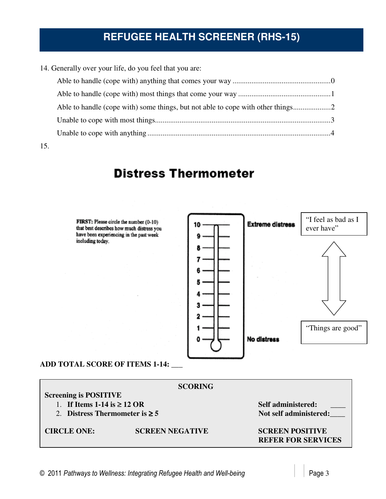## **REFUGEE HEALTH SCREENER (RHS-15)**

14. Generally over your life, do you feel that you are:

15.

## **Distress Thermometer**



| <b>CIRCLE ONE:</b> | <b>SCREEN NEGATIVE</b> | <b>SCREEN POSITIVE</b>    |
|--------------------|------------------------|---------------------------|
|                    |                        | <b>REFER FOR SERVICES</b> |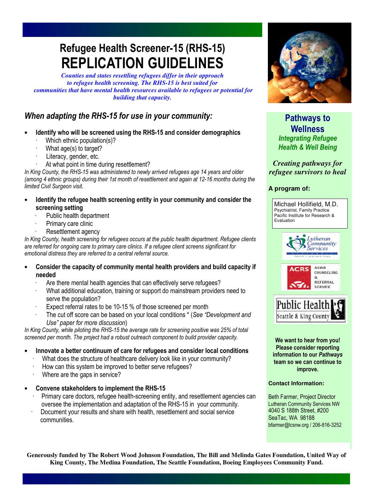# Refugee Health Screener-15 (RHS-15) REPLICATION GUIDELINES

*Counties and states resettling refugees differ in their approach to refugee health screening. The RHS-15 is best suited for communities that have mental health resources available to refugees or potential for building that capacity.*

### When adapting the RHS-15 for use in your community:

#### Identify who will be screened using the RHS-15 and consider demographics

- Which ethnic population(s)?
- What age(s) to target?
- Literacy, gender, etc.
- At what point in time during resettlement?

In King County, the RHS-15 was administered to newly arrived refugees age 14 years and older (among 4 ethnic groups) during their 1st month of resettlement and again at 12-16 months during the limited Civil Surgeon visit.

- Identify the refugee health screening entity in your community and consider the screening setting
	- Public health department
	- Primary care clinic
	- Resettlement agency

In King County, health screening for refugees occurs at the public health department. Refugee clients are referred for ongoing care to primary care clinics. If a refugee client screens significant for emotional distress they are referred to a central referral source.

- Consider the capacity of community mental health providers and build capacity if needed
	- Are there mental health agencies that can effectively serve refugees?
	- · What additional education, training or support do mainstream providers need to serve the population?
	- Expect referral rates to be 10-15 % of those screened per month
	- The cut off score can be based on your local conditions \* (See "Development and Use" paper for more discussion)

In King County, while piloting the RHS-15 the average rate for screening positive was 25% of total screened per month. The project had a robust outreach component to build provider capacity.

- Innovate a better continuum of care for refugees and consider local conditions
	- What does the structure of healthcare delivery look like in your community?
	- How can this system be improved to better serve refugees?
	- Where are the gaps in service?
- Convene stakeholders to implement the RHS-15
	- Primary care doctors, refugee health-screening entity, and resettlement agencies can oversee the implementation and adaptation of the RHS-15 in your community.
	- Document your results and share with health, resettlement and social service communities.



Pathways to **Wellness** Integrating Refugee Health & Well Being

*Creating pathways for refugee survivors to heal* 

#### **A program of:**



Lutheran Community Services NW 4040 S 188th Street, #200 SeaTac, WA 98188 bfarmer@lcsnw.org / 206-816-3252

**Generously funded by The Robert Wood Johnson Foundation, The Bill and Melinda Gates Foundation, United Way of King County, The Medina Foundation, The Seattle Foundation, Boeing Employees Community Fund.**